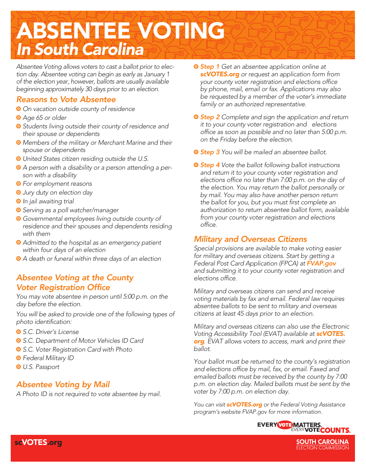## ABSENTEE VOTING *In South Carolina*

*Absentee Voting allows voters to cast a ballot prior to election day. Absentee voting can begin as early as January 1 of the election year, however, ballots are usually available beginning approximately 30 days prior to an election.*

#### *Reasons to Vote Absentee*

- a *On vacation outside county of residence*
- a *Age 65 or older*
- a *Students living outside their county of residence and their spouse or dependents*
- a *Members of the military or Merchant Marine and their spouse or dependents*
- $\bullet$  United States citizen residing outside the U.S.
- a *A person with a disability or a person attending a person with a disability*
- a *For employment reasons*
- a *Jury duty on election day*
- $\odot$  *In jail awaiting trial*
- a *Serving as a poll watcher/manager*
- a *Governmental employees living outside county of residence and their spouses and dependents residing with them*
- a *Admitted to the hospital as an emergency patient within four days of an election*
- a *A death or funeral within three days of an election*

#### *Absentee Voting at the County Voter Registration Office*

*You may vote absentee in person until 5:00 p.m. on the day before the election.*

*You will be asked to provide one of the following types of photo identification:* 

- a *S.C. Driver's License*
- a *S.C. Department of Motor Vehicles ID Card*
- a *S.C. Voter Registration Card with Photo*
- a *Federal Military ID*
- a *U.S. Passport*

### *Absentee Voting by Mail*

*A Photo ID is not required to vote absentee by mail.*

- $\circ$  **Step 1** Get an absentee application online at *scVOTES.org or request an application form from your county voter registration and elections office by phone, mail, email or fax. Applications may also be requested by a member of the voter's immediate family or an authorized representative.*
- a *Step 2 Complete and sign the application and return it to your county voter registration and elections office as soon as possible and no later than 5:00 p.m. on the Friday before the election.*
- $\circ$  **Step 3** You will be mailed an absentee ballot.
- a *Step 4 Vote the ballot following ballot instructions and return it to your county voter registration and elections office no later than 7:00 p.m. on the day of the election. You may return the ballot personally or by mail. You may also have another person return the ballot for you, but you must first complete an authorization to return absentee ballot form, available from your county voter registration and elections office.*

### *Military and Overseas Citizens*

*Special provisions are available to make voting easier for military and overseas citizens. Start by getting a Federal Post Card Application (FPCA) at FVAP.gov and submitting it to your county voter registration and elections office.*

*Military and overseas citizens can send and receive voting materials by fax and email. Federal law requires absentee ballots to be sent to military and overseas citizens at least 45 days prior to an election.*

*Military and overseas citizens can also use the Electronic Voting Accessibility Tool (EVAT) available at scVOTES. org. EVAT allows voters to access, mark and print their ballot.*

*Your ballot must be returned to the county's registration and elections office by mail, fax, or email. Faxed and emailed ballots must be received by the county by 7:00 p.m. on election day. Mailed ballots must be sent by the voter by 7:00 p.m. on election day.*

*You can visit scVOTES.org or the Federal Voting Assistance program's website FVAP.gov for more information.*



**SOUTH CAROLINA**<br>ELECTION COMMISSION